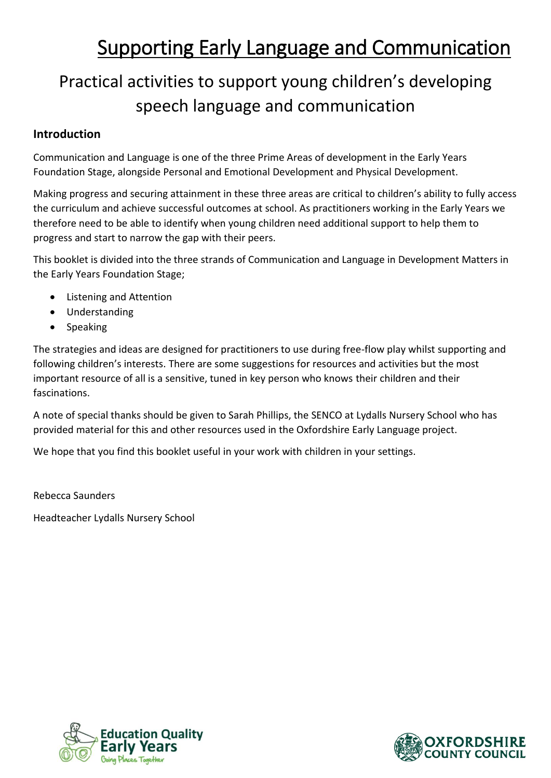# Supporting Early Language and Communication

# Practical activities to support young children's developing speech language and communication

## **Introduction**

Communication and Language is one of the three Prime Areas of development in the Early Years Foundation Stage, alongside Personal and Emotional Development and Physical Development.

Making progress and securing attainment in these three areas are critical to children's ability to fully access the curriculum and achieve successful outcomes at school. As practitioners working in the Early Years we therefore need to be able to identify when young children need additional support to help them to progress and start to narrow the gap with their peers.

This booklet is divided into the three strands of Communication and Language in Development Matters in the Early Years Foundation Stage;

- Listening and Attention
- Understanding
- Speaking

The strategies and ideas are designed for practitioners to use during free-flow play whilst supporting and following children's interests. There are some suggestions for resources and activities but the most important resource of all is a sensitive, tuned in key person who knows their children and their fascinations.

A note of special thanks should be given to Sarah Phillips, the SENCO at Lydalls Nursery School who has provided material for this and other resources used in the Oxfordshire Early Language project.

We hope that you find this booklet useful in your work with children in your settings.

Rebecca Saunders Headteacher Lydalls Nursery School



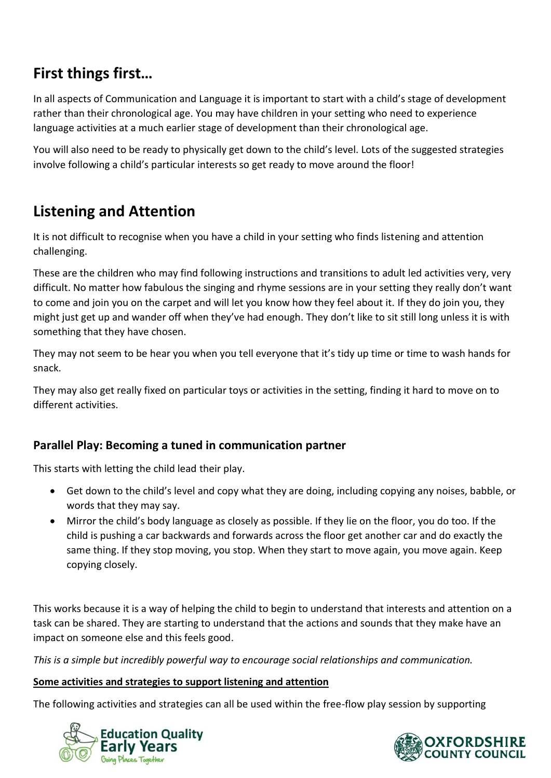# **First things first…**

In all aspects of Communication and Language it is important to start with a child's stage of development rather than their chronological age. You may have children in your setting who need to experience language activities at a much earlier stage of development than their chronological age.

You will also need to be ready to physically get down to the child's level. Lots of the suggested strategies involve following a child's particular interests so get ready to move around the floor!

# **Listening and Attention**

It is not difficult to recognise when you have a child in your setting who finds listening and attention challenging.

These are the children who may find following instructions and transitions to adult led activities very, very difficult. No matter how fabulous the singing and rhyme sessions are in your setting they really don't want to come and join you on the carpet and will let you know how they feel about it. If they do join you, they might just get up and wander off when they've had enough. They don't like to sit still long unless it is with something that they have chosen.

They may not seem to be hear you when you tell everyone that it's tidy up time or time to wash hands for snack.

They may also get really fixed on particular toys or activities in the setting, finding it hard to move on to different activities.

# **Parallel Play: Becoming a tuned in communication partner**

This starts with letting the child lead their play.

- Get down to the child's level and copy what they are doing, including copying any noises, babble, or words that they may say.
- Mirror the child's body language as closely as possible. If they lie on the floor, you do too. If the child is pushing a car backwards and forwards across the floor get another car and do exactly the same thing. If they stop moving, you stop. When they start to move again, you move again. Keep copying closely.

This works because it is a way of helping the child to begin to understand that interests and attention on a task can be shared. They are starting to understand that the actions and sounds that they make have an impact on someone else and this feels good.

*This is a simple but incredibly powerful way to encourage social relationships and communication.*

#### **Some activities and strategies to support listening and attention**

The following activities and strategies can all be used within the free-flow play session by supporting



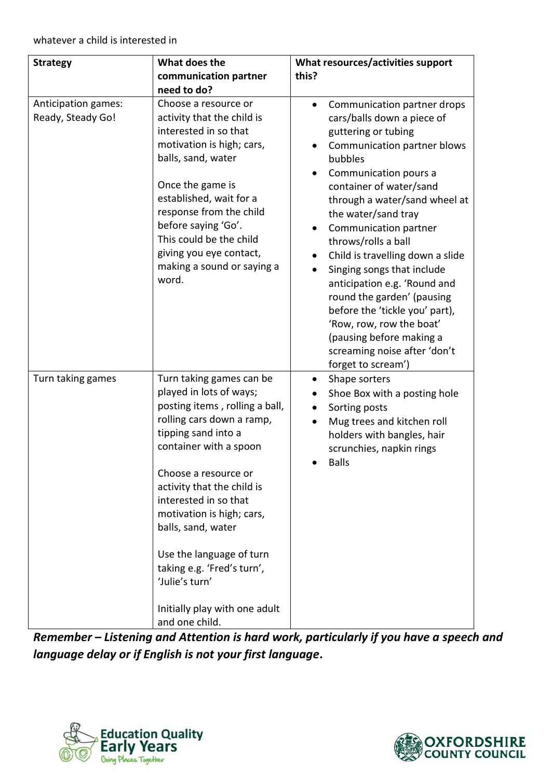| <b>Strategy</b>                          | What does the                                                                                                                                                                                                                                                                                                                                                                                                                        | What resources/activities support                                                                                                                                                                                                                                                                                                                                                                                                                                                                                                                                                                |
|------------------------------------------|--------------------------------------------------------------------------------------------------------------------------------------------------------------------------------------------------------------------------------------------------------------------------------------------------------------------------------------------------------------------------------------------------------------------------------------|--------------------------------------------------------------------------------------------------------------------------------------------------------------------------------------------------------------------------------------------------------------------------------------------------------------------------------------------------------------------------------------------------------------------------------------------------------------------------------------------------------------------------------------------------------------------------------------------------|
|                                          | communication partner                                                                                                                                                                                                                                                                                                                                                                                                                | this?                                                                                                                                                                                                                                                                                                                                                                                                                                                                                                                                                                                            |
|                                          | need to do?                                                                                                                                                                                                                                                                                                                                                                                                                          |                                                                                                                                                                                                                                                                                                                                                                                                                                                                                                                                                                                                  |
| Anticipation games:<br>Ready, Steady Go! | Choose a resource or<br>activity that the child is<br>interested in so that<br>motivation is high; cars,<br>balls, sand, water<br>Once the game is<br>established, wait for a<br>response from the child<br>before saying 'Go'.<br>This could be the child<br>giving you eye contact,<br>making a sound or saying a<br>word.                                                                                                         | Communication partner drops<br>$\bullet$<br>cars/balls down a piece of<br>guttering or tubing<br>Communication partner blows<br>bubbles<br>Communication pours a<br>container of water/sand<br>through a water/sand wheel at<br>the water/sand tray<br>Communication partner<br>$\bullet$<br>throws/rolls a ball<br>Child is travelling down a slide<br>Singing songs that include<br>anticipation e.g. 'Round and<br>round the garden' (pausing<br>before the 'tickle you' part),<br>'Row, row, row the boat'<br>(pausing before making a<br>screaming noise after 'don't<br>forget to scream') |
| Turn taking games                        | Turn taking games can be<br>played in lots of ways;<br>posting items, rolling a ball,<br>rolling cars down a ramp,<br>tipping sand into a<br>container with a spoon<br>Choose a resource or<br>activity that the child is<br>interested in so that<br>motivation is high; cars,<br>balls, sand, water<br>Use the language of turn<br>taking e.g. 'Fred's turn',<br>'Julie's turn'<br>Initially play with one adult<br>and one child. | Shape sorters<br>Shoe Box with a posting hole<br>Sorting posts<br>Mug trees and kitchen roll<br>holders with bangles, hair<br>scrunchies, napkin rings<br><b>Balls</b>                                                                                                                                                                                                                                                                                                                                                                                                                           |

*Remember – Listening and Attention is hard work, particularly if you have a speech and language delay or if English is not your first language***.**



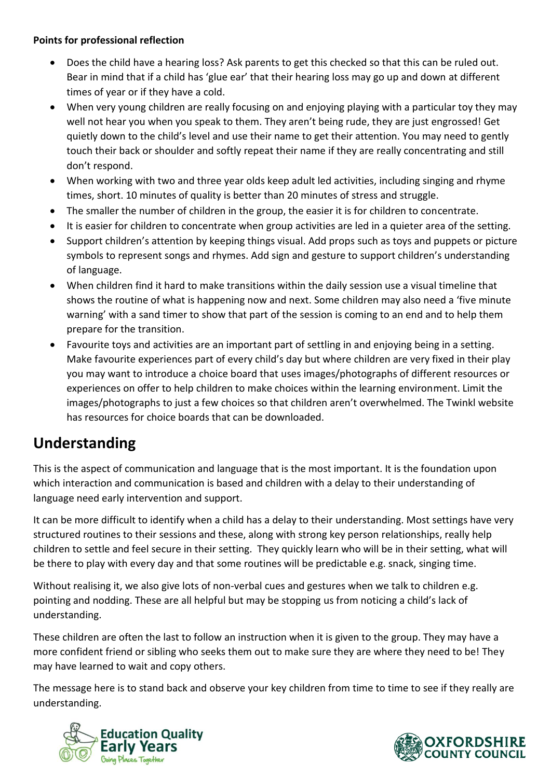#### **Points for professional reflection**

- Does the child have a hearing loss? Ask parents to get this checked so that this can be ruled out. Bear in mind that if a child has 'glue ear' that their hearing loss may go up and down at different times of year or if they have a cold.
- When very young children are really focusing on and enjoying playing with a particular toy they may well not hear you when you speak to them. They aren't being rude, they are just engrossed! Get quietly down to the child's level and use their name to get their attention. You may need to gently touch their back or shoulder and softly repeat their name if they are really concentrating and still don't respond.
- When working with two and three year olds keep adult led activities, including singing and rhyme times, short. 10 minutes of quality is better than 20 minutes of stress and struggle.
- The smaller the number of children in the group, the easier it is for children to concentrate.
- It is easier for children to concentrate when group activities are led in a quieter area of the setting.
- Support children's attention by keeping things visual. Add props such as toys and puppets or picture symbols to represent songs and rhymes. Add sign and gesture to support children's understanding of language.
- When children find it hard to make transitions within the daily session use a visual timeline that shows the routine of what is happening now and next. Some children may also need a 'five minute warning' with a sand timer to show that part of the session is coming to an end and to help them prepare for the transition.
- Favourite toys and activities are an important part of settling in and enjoying being in a setting. Make favourite experiences part of every child's day but where children are very fixed in their play you may want to introduce a choice board that uses images/photographs of different resources or experiences on offer to help children to make choices within the learning environment. Limit the images/photographs to just a few choices so that children aren't overwhelmed. The Twinkl website has resources for choice boards that can be downloaded.

# **Understanding**

This is the aspect of communication and language that is the most important. It is the foundation upon which interaction and communication is based and children with a delay to their understanding of language need early intervention and support.

It can be more difficult to identify when a child has a delay to their understanding. Most settings have very structured routines to their sessions and these, along with strong key person relationships, really help children to settle and feel secure in their setting. They quickly learn who will be in their setting, what will be there to play with every day and that some routines will be predictable e.g. snack, singing time.

Without realising it, we also give lots of non-verbal cues and gestures when we talk to children e.g. pointing and nodding. These are all helpful but may be stopping us from noticing a child's lack of understanding.

These children are often the last to follow an instruction when it is given to the group. They may have a more confident friend or sibling who seeks them out to make sure they are where they need to be! They may have learned to wait and copy others.

The message here is to stand back and observe your key children from time to time to see if they really are understanding.



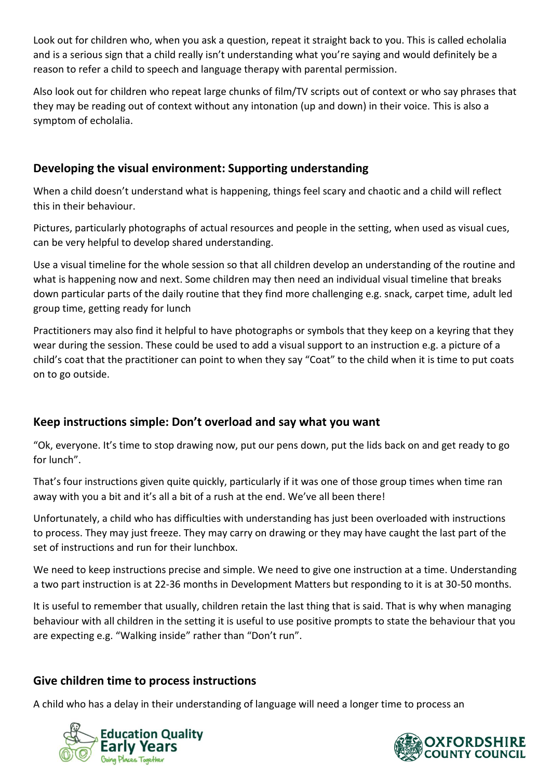Look out for children who, when you ask a question, repeat it straight back to you. This is called echolalia and is a serious sign that a child really isn't understanding what you're saying and would definitely be a reason to refer a child to speech and language therapy with parental permission.

Also look out for children who repeat large chunks of film/TV scripts out of context or who say phrases that they may be reading out of context without any intonation (up and down) in their voice. This is also a symptom of echolalia.

### **Developing the visual environment: Supporting understanding**

When a child doesn't understand what is happening, things feel scary and chaotic and a child will reflect this in their behaviour.

Pictures, particularly photographs of actual resources and people in the setting, when used as visual cues, can be very helpful to develop shared understanding.

Use a visual timeline for the whole session so that all children develop an understanding of the routine and what is happening now and next. Some children may then need an individual visual timeline that breaks down particular parts of the daily routine that they find more challenging e.g. snack, carpet time, adult led group time, getting ready for lunch

Practitioners may also find it helpful to have photographs or symbols that they keep on a keyring that they wear during the session. These could be used to add a visual support to an instruction e.g. a picture of a child's coat that the practitioner can point to when they say "Coat" to the child when it is time to put coats on to go outside.

# **Keep instructions simple: Don't overload and say what you want**

"Ok, everyone. It's time to stop drawing now, put our pens down, put the lids back on and get ready to go for lunch".

That's four instructions given quite quickly, particularly if it was one of those group times when time ran away with you a bit and it's all a bit of a rush at the end. We've all been there!

Unfortunately, a child who has difficulties with understanding has just been overloaded with instructions to process. They may just freeze. They may carry on drawing or they may have caught the last part of the set of instructions and run for their lunchbox.

We need to keep instructions precise and simple. We need to give one instruction at a time. Understanding a two part instruction is at 22-36 months in Development Matters but responding to it is at 30-50 months.

It is useful to remember that usually, children retain the last thing that is said. That is why when managing behaviour with all children in the setting it is useful to use positive prompts to state the behaviour that you are expecting e.g. "Walking inside" rather than "Don't run".

### **Give children time to process instructions**

A child who has a delay in their understanding of language will need a longer time to process an



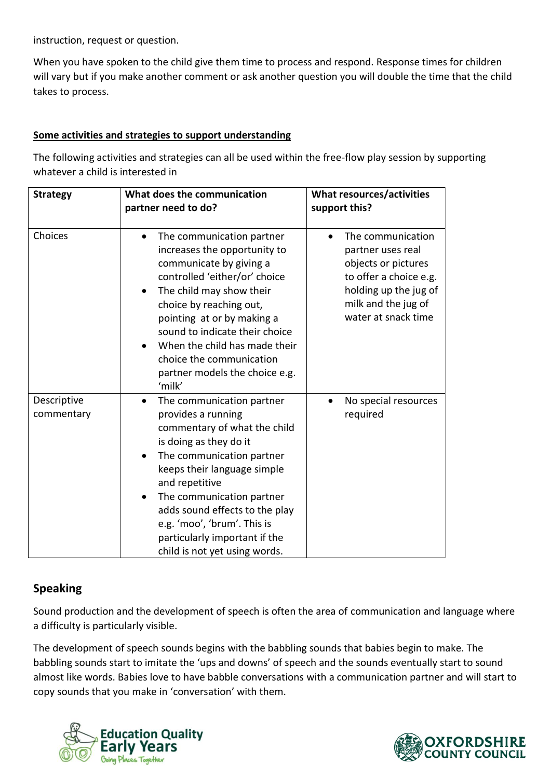instruction, request or question.

When you have spoken to the child give them time to process and respond. Response times for children will vary but if you make another comment or ask another question you will double the time that the child takes to process.

#### **Some activities and strategies to support understanding**

The following activities and strategies can all be used within the free-flow play session by supporting whatever a child is interested in

| <b>Strategy</b>           | What does the communication<br>partner need to do?                                                                                                                                                                                                                                                                                                                                             | What resources/activities<br>support this?                                                                                                                     |
|---------------------------|------------------------------------------------------------------------------------------------------------------------------------------------------------------------------------------------------------------------------------------------------------------------------------------------------------------------------------------------------------------------------------------------|----------------------------------------------------------------------------------------------------------------------------------------------------------------|
| Choices                   | The communication partner<br>increases the opportunity to<br>communicate by giving a<br>controlled 'either/or' choice<br>The child may show their<br>choice by reaching out,<br>pointing at or by making a<br>sound to indicate their choice<br>When the child has made their<br>choice the communication<br>partner models the choice e.g.<br>'milk'                                          | The communication<br>partner uses real<br>objects or pictures<br>to offer a choice e.g.<br>holding up the jug of<br>milk and the jug of<br>water at snack time |
| Descriptive<br>commentary | The communication partner<br>$\bullet$<br>provides a running<br>commentary of what the child<br>is doing as they do it<br>The communication partner<br>$\bullet$<br>keeps their language simple<br>and repetitive<br>The communication partner<br>$\bullet$<br>adds sound effects to the play<br>e.g. 'moo', 'brum'. This is<br>particularly important if the<br>child is not yet using words. | No special resources<br>required                                                                                                                               |

### **Speaking**

Sound production and the development of speech is often the area of communication and language where a difficulty is particularly visible.

The development of speech sounds begins with the babbling sounds that babies begin to make. The babbling sounds start to imitate the 'ups and downs' of speech and the sounds eventually start to sound almost like words. Babies love to have babble conversations with a communication partner and will start to copy sounds that you make in 'conversation' with them.



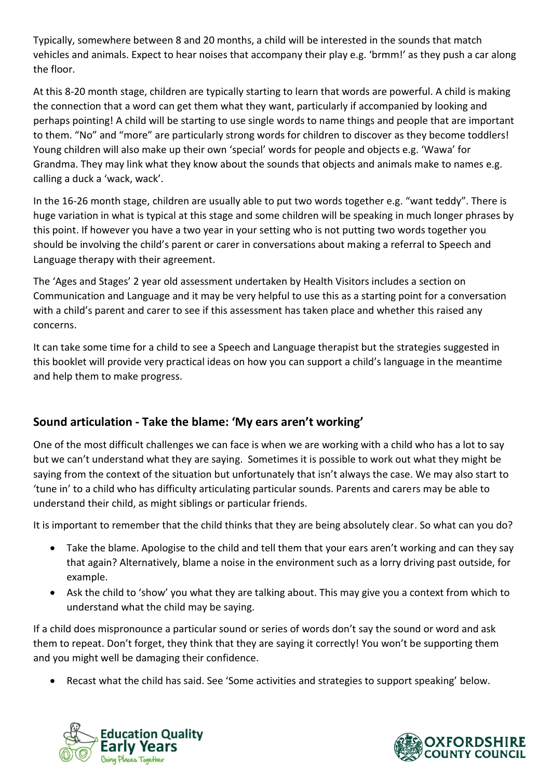Typically, somewhere between 8 and 20 months, a child will be interested in the sounds that match vehicles and animals. Expect to hear noises that accompany their play e.g. 'brmm!' as they push a car along the floor.

At this 8-20 month stage, children are typically starting to learn that words are powerful. A child is making the connection that a word can get them what they want, particularly if accompanied by looking and perhaps pointing! A child will be starting to use single words to name things and people that are important to them. "No" and "more" are particularly strong words for children to discover as they become toddlers! Young children will also make up their own 'special' words for people and objects e.g. 'Wawa' for Grandma. They may link what they know about the sounds that objects and animals make to names e.g. calling a duck a 'wack, wack'.

In the 16-26 month stage, children are usually able to put two words together e.g. "want teddy". There is huge variation in what is typical at this stage and some children will be speaking in much longer phrases by this point. If however you have a two year in your setting who is not putting two words together you should be involving the child's parent or carer in conversations about making a referral to Speech and Language therapy with their agreement.

The 'Ages and Stages' 2 year old assessment undertaken by Health Visitors includes a section on Communication and Language and it may be very helpful to use this as a starting point for a conversation with a child's parent and carer to see if this assessment has taken place and whether this raised any concerns.

It can take some time for a child to see a Speech and Language therapist but the strategies suggested in this booklet will provide very practical ideas on how you can support a child's language in the meantime and help them to make progress.

# **Sound articulation - Take the blame: 'My ears aren't working'**

One of the most difficult challenges we can face is when we are working with a child who has a lot to say but we can't understand what they are saying. Sometimes it is possible to work out what they might be saying from the context of the situation but unfortunately that isn't always the case. We may also start to 'tune in' to a child who has difficulty articulating particular sounds. Parents and carers may be able to understand their child, as might siblings or particular friends.

It is important to remember that the child thinks that they are being absolutely clear. So what can you do?

- Take the blame. Apologise to the child and tell them that your ears aren't working and can they say that again? Alternatively, blame a noise in the environment such as a lorry driving past outside, for example.
- Ask the child to 'show' you what they are talking about. This may give you a context from which to understand what the child may be saying.

If a child does mispronounce a particular sound or series of words don't say the sound or word and ask them to repeat. Don't forget, they think that they are saying it correctly! You won't be supporting them and you might well be damaging their confidence.

Recast what the child has said. See 'Some activities and strategies to support speaking' below.



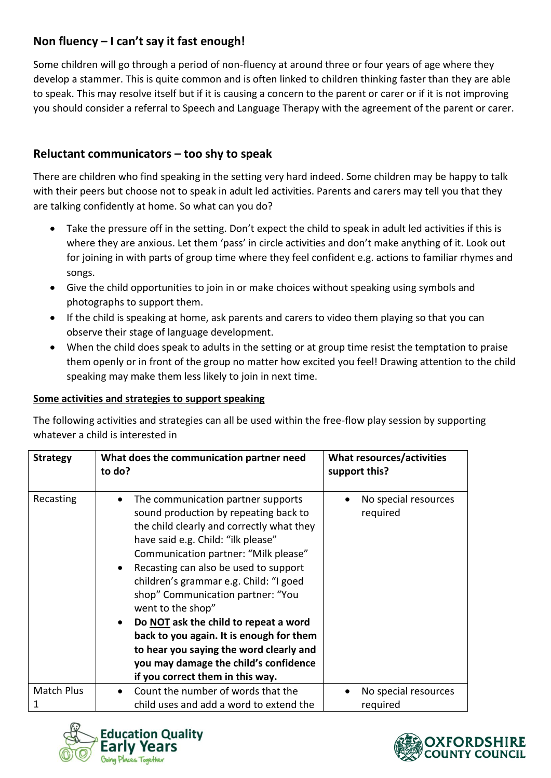# **Non fluency – I can't say it fast enough!**

Some children will go through a period of non-fluency at around three or four years of age where they develop a stammer. This is quite common and is often linked to children thinking faster than they are able to speak. This may resolve itself but if it is causing a concern to the parent or carer or if it is not improving you should consider a referral to Speech and Language Therapy with the agreement of the parent or carer.

## **Reluctant communicators – too shy to speak**

There are children who find speaking in the setting very hard indeed. Some children may be happy to talk with their peers but choose not to speak in adult led activities. Parents and carers may tell you that they are talking confidently at home. So what can you do?

- Take the pressure off in the setting. Don't expect the child to speak in adult led activities if this is where they are anxious. Let them 'pass' in circle activities and don't make anything of it. Look out for joining in with parts of group time where they feel confident e.g. actions to familiar rhymes and songs.
- Give the child opportunities to join in or make choices without speaking using symbols and photographs to support them.
- If the child is speaking at home, ask parents and carers to video them playing so that you can observe their stage of language development.
- When the child does speak to adults in the setting or at group time resist the temptation to praise them openly or in front of the group no matter how excited you feel! Drawing attention to the child speaking may make them less likely to join in next time.

#### **Some activities and strategies to support speaking**

The following activities and strategies can all be used within the free-flow play session by supporting whatever a child is interested in

| <b>Strategy</b>   | What does the communication partner need<br>to do?                                                                                                                                                                                                                                                                                                                                                                                                                                                                                                                            | What resources/activities<br>support this? |
|-------------------|-------------------------------------------------------------------------------------------------------------------------------------------------------------------------------------------------------------------------------------------------------------------------------------------------------------------------------------------------------------------------------------------------------------------------------------------------------------------------------------------------------------------------------------------------------------------------------|--------------------------------------------|
| Recasting         | The communication partner supports<br>$\bullet$<br>sound production by repeating back to<br>the child clearly and correctly what they<br>have said e.g. Child: "ilk please"<br>Communication partner: "Milk please"<br>Recasting can also be used to support<br>children's grammar e.g. Child: "I goed<br>shop" Communication partner: "You<br>went to the shop"<br>Do NOT ask the child to repeat a word<br>back to you again. It is enough for them<br>to hear you saying the word clearly and<br>you may damage the child's confidence<br>if you correct them in this way. | No special resources<br>required           |
| <b>Match Plus</b> | Count the number of words that the                                                                                                                                                                                                                                                                                                                                                                                                                                                                                                                                            | No special resources                       |
| 1                 | child uses and add a word to extend the                                                                                                                                                                                                                                                                                                                                                                                                                                                                                                                                       | required                                   |



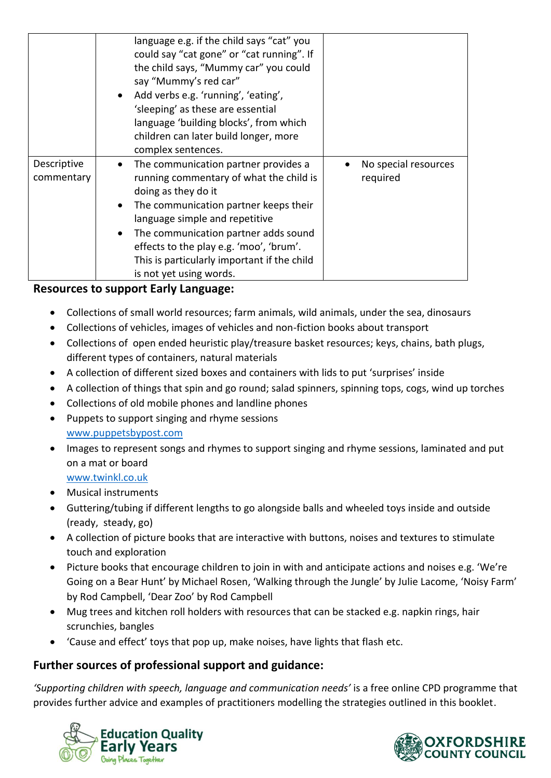|                           | language e.g. if the child says "cat" you<br>could say "cat gone" or "cat running". If<br>the child says, "Mummy car" you could<br>say "Mummy's red car"<br>Add verbs e.g. 'running', 'eating',<br>'sleeping' as these are essential<br>language 'building blocks', from which<br>children can later build longer, more<br>complex sentences.                                         |                                  |
|---------------------------|---------------------------------------------------------------------------------------------------------------------------------------------------------------------------------------------------------------------------------------------------------------------------------------------------------------------------------------------------------------------------------------|----------------------------------|
| Descriptive<br>commentary | The communication partner provides a<br>$\bullet$<br>running commentary of what the child is<br>doing as they do it<br>The communication partner keeps their<br>$\bullet$<br>language simple and repetitive<br>The communication partner adds sound<br>$\bullet$<br>effects to the play e.g. 'moo', 'brum'.<br>This is particularly important if the child<br>is not yet using words. | No special resources<br>required |

#### **Resources to support Early Language:**

- Collections of small world resources; farm animals, wild animals, under the sea, dinosaurs
- Collections of vehicles, images of vehicles and non-fiction books about transport
- Collections of open ended heuristic play/treasure basket resources; keys, chains, bath plugs, different types of containers, natural materials
- A collection of different sized boxes and containers with lids to put 'surprises' inside
- A collection of things that spin and go round; salad spinners, spinning tops, cogs, wind up torches
- Collections of old mobile phones and landline phones
- Puppets to support singing and rhyme sessions
- [www.puppetsbypost.com](http://www.puppetsbypost.com/)
- Images to represent songs and rhymes to support singing and rhyme sessions, laminated and put on a mat or board

[www.twinkl.co.uk](http://www.twinkl.co.uk/)

- Musical instruments
- Guttering/tubing if different lengths to go alongside balls and wheeled toys inside and outside (ready, steady, go)
- A collection of picture books that are interactive with buttons, noises and textures to stimulate touch and exploration
- Picture books that encourage children to join in with and anticipate actions and noises e.g. 'We're Going on a Bear Hunt' by Michael Rosen, 'Walking through the Jungle' by Julie Lacome, 'Noisy Farm' by Rod Campbell, 'Dear Zoo' by Rod Campbell
- Mug trees and kitchen roll holders with resources that can be stacked e.g. napkin rings, hair scrunchies, bangles
- 'Cause and effect' toys that pop up, make noises, have lights that flash etc.

#### **Further sources of professional support and guidance:**

*'Supporting children with speech, language and communication needs'* is a free online CPD programme that provides further advice and examples of practitioners modelling the strategies outlined in this booklet.